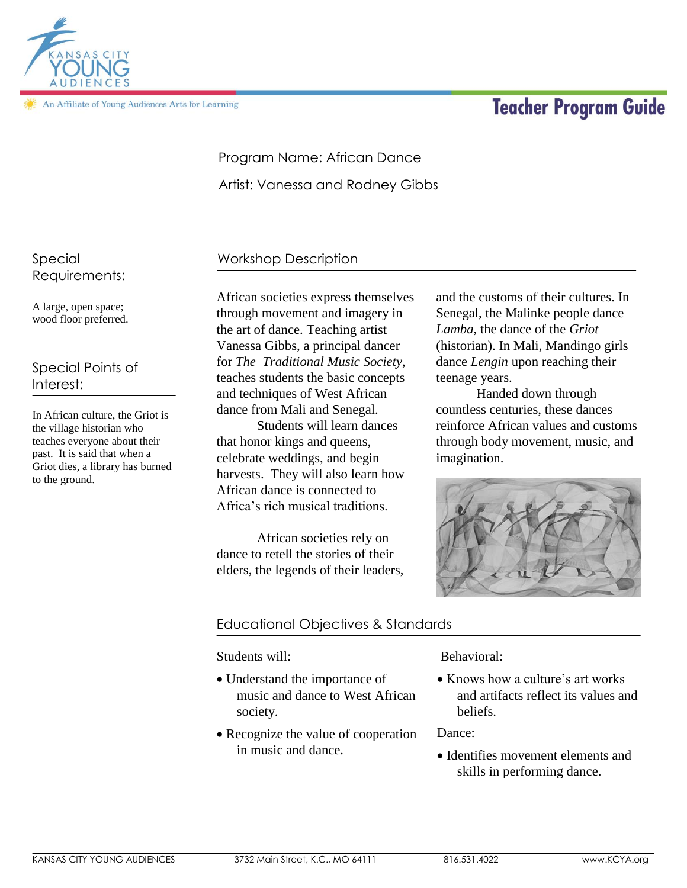

An Affiliate of Young Audiences Arts for Learning

# **Teacher Program Guide**

#### Program Name: African Dance

Artist: Vanessa and Rodney Gibbs

#### Workshop Description

A large, open space; wood floor preferred.

Requirements:

Special

Special Points of Interest:

In African culture, the Griot is the village historian who teaches everyone about their past. It is said that when a Griot dies, a library has burned to the ground.

African societies express themselves through movement and imagery in the art of dance. Teaching artist Vanessa Gibbs, a principal dancer for *The Traditional Music Society*, teaches students the basic concepts and techniques of West African dance from Mali and Senegal.

Students will learn dances that honor kings and queens, celebrate weddings, and begin harvests. They will also learn how African dance is connected to Africa's rich musical traditions.

African societies rely on dance to retell the stories of their elders, the legends of their leaders,

and the customs of their cultures. In Senegal, the Malinke people dance *Lamba*, the dance of the *Griot*  (historian). In Mali, Mandingo girls dance *Lengin* upon reaching their teenage years.

Handed down through countless centuries, these dances reinforce African values and customs through body movement, music, and imagination.



## Educational Objectives & Standards

Students will:

- Understand the importance of music and dance to West African society.
- Recognize the value of cooperation in music and dance.

Behavioral:

• Knows how a culture's art works and artifacts reflect its values and beliefs.

Dance:

• Identifies movement elements and skills in performing dance.